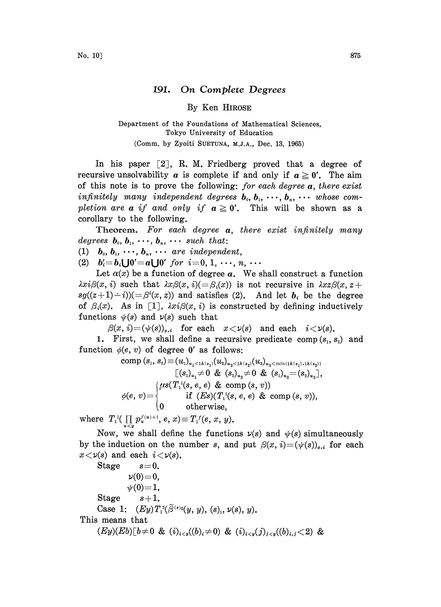## 191. On Complete Degrees

By Ken HIROSE

## Department of the Foundations of Mathematical Sciences, Tokyo University of Education (Comm. by Zyoiti SUETUNA, M.J.A., Dec. 13, 1965)

In his paper  $\lceil 2 \rceil$ , R. M. Friedberg proved that a degree of recursive unsolvability a is complete if and only if  $a \geq 0'$ . The aim of this note is to prove the following: for each degree  $a$ , there exist infinitely many independent degrees  $b_0, b_1, \cdots, b_n, \cdots$  whose completion are a if and only if  $a \ge 0'$ . This will be shown as a corollary to the following.

Theorem. For each degree  $a$ , there exist infinitely many degrees  $\mathbf{b}_{0}, \mathbf{b}_{1}, \cdots, \mathbf{b}_{n}, \cdots$  such that:

(1)  $\boldsymbol{b}_0, \boldsymbol{b}_1, \cdots, \boldsymbol{b}_n, \cdots$  are independent,

(2)  $b_i = b_i \bigcup 0' = a \bigcup 0'$  for  $i = 0, 1, \dots, n, \dots$ 

Let  $\alpha(x)$  be a function of degree a. We shall construct a function  $\lambda x i \beta(x, i)$  such that  $\lambda x \beta(x, i) (= \beta_i(x))$  is not recursive in  $\lambda x \beta(x, z+$  $sg((z+1)-i))(=\beta^{i}(x, z))$  and satisfies (2). And let  $b_i$  be the degree of  $\beta_i(x)$ . As in [1],  $\lambda x_i\beta(x, i)$  is constructed by defining inductively functions  $\psi(s)$  and  $\nu(s)$  such that

 $\beta(x, i) = (\psi(s))_{x,i}$  for each  $x < \nu(s)$  and each  $i < \nu(s)$ .

1. First, we shall define a recursive predicate comp  $(s_1, s_2)$  and function  $\phi(e, v)$  of degree 0' as follows:

comp 
$$
(s_1, s_2) \equiv (u_1)_{u_1 < 1h(s_1)} (u_2)_{u_2 < 1h(s_2)} (u_3)_{u_3 < \min(1h(s_1), 1h(s_2))}
$$
  
\n
$$
[(s_1)_{u_1} \neq 0 \& (s_2)_{u_2} \neq 0 \& (s_1)_{u_3} = (s_2)_{u_3}],
$$
\n
$$
\phi(e, v) = \begin{cases}\n\mu s(T_1^1(s, e, e) & \text{from } (s, v)) \\
\text{if } (Es)(T_1^1(s, e, e) & \text{from } (s, v)), \\
0 & \text{otherwise,} \n\end{cases}
$$

where  $T_1^1(\prod_{u \lt y} p_u^{f(u)+1}, e, x) \equiv T_1^f(e, x, y)$ .

Now, we shall define the functions  $\nu(s)$  and  $\nu(s)$  simultaneously by the induction on the number s, and put  $\beta(x, i)=(\psi(s))_{x,i}$  for each  $x < \nu(s)$  and each  $i < \nu(s)$ .

Stage  $s=0$ .  $\nu(0)=0,$  $\psi(0)\!=\!1.$ Stage  $s+1$ . Case 1:  $(Ey)T_1^2(\tilde{\beta}^{(s)}(y, y), (s)_1, \nu(s), y)$ . This means that  $(Ey)(Eb)[b\neq0 \& (i)_{i\leq y}((b)_i\neq0) \& (i)_{i\leq y}((j)_{i\leq y}((b)_i\neq0) \&$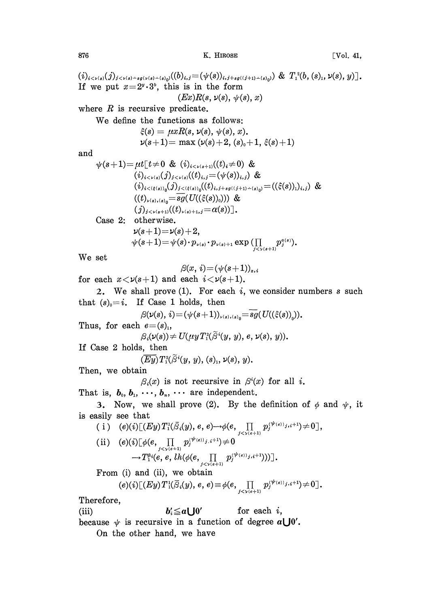$876$  [Vol. 41,

 $(i)_{i\leq\nu(s)}(j)_{j\leq\nu(s)-sg(\nu(s)-(s_0))}((b)_{i,j}=(\psi(s))_{i,j+sg((j+1)-(s_0))})$  &  $T_1^2(b,(s)_1,\nu(s),y)]$ . If we put  $x=2^y\cdot3^b$ , this is in the form  $(Ex)R(s, \nu(s), \psi(s), x)$ where  $R$  is recursive predicate. We define the functions as follows:  $\xi(s) = \mu x R(s, \nu(s), \psi(s), x).$  $\nu(s+1) = \max(\nu(s) + 2, (s_0 + 1, \xi(s) + 1))$  $\psi(s+1)=\mu t[t\neq 0 \& (i)_{i\leq s+1}(t)_{i}\neq 0) \&$  $(i)_{i \leq \nu(s)}(j)_{j \leq \nu(s)}((t)_{i,j} = (\psi(s))_{i,j})$  &  $(i)_{i < (\xi(s))_0}(j)_{j < (\xi(s))_0}((t)_{i,j+sg((j+1)-(s)_0)} = ((\xi(s))_1)_{i,j})$  &  $((t)_{\nu(s),(s_0)}=\overline{sg}(U((\xi(s))_0)))$  & and

 $(j)_{j \lt \nu(s+1)}((t)_{\nu(s)+1,j} = \alpha(s))$ .

Case 2: otherwise.

$$
\nu(s+1)=\nu(s)+2,\n\psi(s+1)=\psi(s)\cdot p_{\nu(s)}\cdot p_{\nu(s)+1}\exp\big(\prod_{j<\nu(s+1)}p_j^{a(s)}\big).
$$

We set

$$
\beta(x, i) = (\psi(s+1))_{x,i}
$$

for each  $x < \nu(s+1)$  and each  $i < \nu(s+1)$ .

2. We shall prove  $(1)$ . For each i, we consider numbers s such that  $(s)_0 = i$ . If Case 1 holds, then

$$
\beta(\nu(s),\,i){=}(\psi(s{+}1))_{\nu(s), (s)_0}{=}sg(U((\xi(s))_{_0})).
$$

Thus, for each  $e=(s)$ ,

$$
\beta_i(\nu(s))\neq U(\mu y\,T_1^2(\widetilde\beta^i(y,\,y),\,e,\,\nu(s),\,y)).
$$

If Case 2 holds, then

$$
(\overline{Ey})T_1^2(\widetilde{\beta}^i(y, y), (s)_1, \nu(s), y).
$$

Then, we obtain

$$
\beta_i(x)
$$
 is not recursive in  $\beta^i(x)$  for all *i*.

That is,  $b_0, b_1, \dots, b_n, \dots$  are independent.

3. Now, we shall prove (2). By the definition of  $\phi$  and  $\psi$ , it is easily see that

\n- (i) 
$$
(e)(i)[(Ey)T_1^i(\bar{S}_i(y), e, e) \rightarrow \phi(e, \prod_{j < \gamma(e+1)} p_j^{(\psi(e))j, i+1}) \neq 0],
$$
\n- (ii)  $(e)(i)[\phi(e, \prod_{j < \gamma(e+1)} p_j^{(\psi(e))j, i+1}) \neq 0 \rightarrow T_1^{e_i}(e, e, lh(\phi(e, \prod_{j < \gamma(e+1)} p_j^{(\psi(e))j, i+1})))].$
\n- From (i) and (ii), we obtain\n  $(e)(i)[(Ey)T_1^i(\bar{S}_i(y), e, e) \equiv \phi(e, \prod p_j^{(\psi(e))j, i+1}) \neq 0].$
\n

Therefore,

(iii) 
$$
b'_i \leq a \bigcup 0'
$$
 for each *i*,

because  $\psi$  is recursive in a function of degree  $a \bigcup 0'$ .

On the other hand, we have